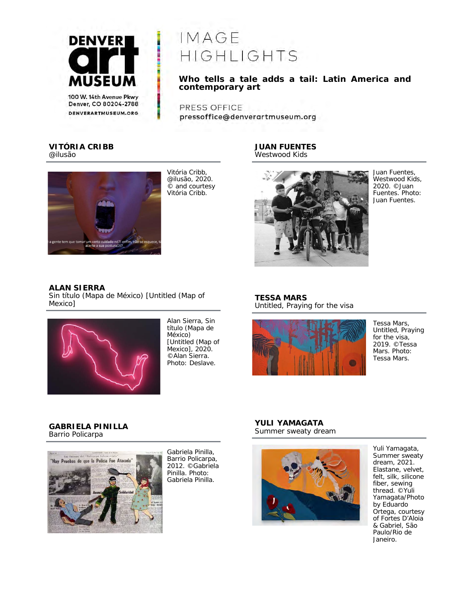

denverartmuseum.org

IMAGE HIGHLIGHTS

Who tells a tale adds a tail: Latin America and  $\emph{contemporary art}$ 

PRESS OFFICE pressoffice@denverartmuseum.org

### **VITÓRIA CRIBB**  *@ilusão*



Vitória Cribb, *@ilusão*, 2020. © and courtesy Vitória Cribb.

### **JUAN FUENTES**  *Westwood Kids*



Juan Fuentes, *Westwood Kids*, 2020. ©Juan Fuentes. Photo: Juan Fuentes.

# **ALAN SIERRA**

*Sin título (Mapa de México) [Untitled (Map of Mexico]* 



Alan Sierra, *Sin título (Mapa de México) [Untitled (Map of Mexico]*, 2020. ©Alan Sierra. Photo: Deslave.

# **TESSA MARS**  *Untitled, Praying for the visa*



Tessa Mars, *Untitled, Praying for the visa*, 2019. ©Tessa Mars. Photo: Tessa Mars.

# **GABRIELA PINILLA**  *Barrio Policarpa*



Gabriela Pinilla, *Barrio Policarpa*, 2012. ©Gabriela Pinilla. Photo: Gabriela Pinilla.

#### **YULI YAMAGATA**  *Summer sweaty dream*



Yuli Yamagata, *Summer sweaty dream*, 2021. Elastane, velvet, felt, silk, silicone fiber, sewing thread. ©Yuli Yamagata/Photo by Eduardo Ortega, courtesy of Fortes D'Aloia & Gabriel, São Paulo/Rio de Janeiro.